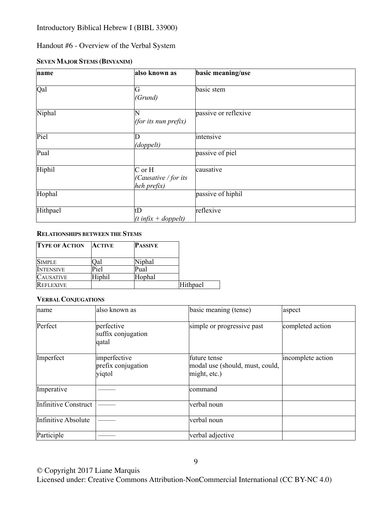# Handout #6 - Overview of the Verbal System

# **SEVEN MAJOR STEMS (BINYANIM)**

| name     | also known as                                                                 | basic meaning/use    |
|----------|-------------------------------------------------------------------------------|----------------------|
| Qal      | G<br> (Grund)                                                                 | basic stem           |
| Niphal   | $\overline{\text{N}}$<br>(for its nun prefix)                                 | passive or reflexive |
| Piel     | $\mathbb D$<br>(doppelt)                                                      | intensive            |
| Pual     |                                                                               | passive of piel      |
| Hiphil   | $\overline{C}$ or $\overline{H}$<br>$ $ (Causative / for its<br>$heh$ prefix) | causative            |
| Hophal   |                                                                               | passive of hiphil    |
| Hithpael | tD<br>$\left $ ( <i>t</i> infix + doppelt)                                    | reflexive            |

### **RELATIONSHIPS BETWEEN THE STEMS**

| <b>TYPE OF ACTION</b> | <b>ACTIVE</b> | <b>PASSIVE</b> |          |
|-----------------------|---------------|----------------|----------|
|                       |               |                |          |
| <b>SIMPLE</b>         | Qal           | Niphal         |          |
| <b>INTENSIVE</b>      | Piel          | Pual           |          |
| <b>CAUSATIVE</b>      | Hiphil        | Hophal         |          |
| <b>REFLEXIVE</b>      |               |                | Hithpael |

#### **VERBAL CONJUGATIONS**

| name                 | also known as                                | basic meaning (tense)                                           | aspect            |
|----------------------|----------------------------------------------|-----------------------------------------------------------------|-------------------|
| Perfect              | perfective<br>suffix conjugation<br>qatal    | simple or progressive past                                      | completed action  |
| Imperfect            | imperfective<br>prefix conjugation<br>yiqtol | future tense<br>modal use (should, must, could,<br>might, etc.) | incomplete action |
| Imperative           |                                              | command                                                         |                   |
| Infinitive Construct |                                              | verbal noun                                                     |                   |
| Infinitive Absolute  |                                              | verbal noun                                                     |                   |
| Participle           |                                              | verbal adjective                                                |                   |

© Copyright 2017 Liane Marquis

Licensed under: Creative Commons Attribution-NonCommercial International (CC BY-NC 4.0)